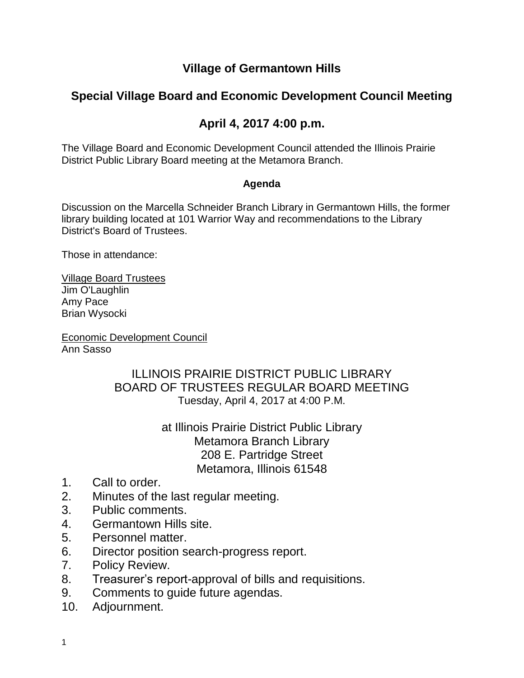### **Village of Germantown Hills**

# **Special Village Board and Economic Development Council Meeting**

# **April 4, 2017 4:00 p.m.**

The Village Board and Economic Development Council attended the Illinois Prairie District Public Library Board meeting at the Metamora Branch.

#### **Agenda**

Discussion on the Marcella Schneider Branch Library in Germantown Hills, the former library building located at 101 Warrior Way and recommendations to the Library District's Board of Trustees.

Those in attendance:

Village Board Trustees Jim O'Laughlin Amy Pace Brian Wysocki

Economic Development Council Ann Sasso

#### ILLINOIS PRAIRIE DISTRICT PUBLIC LIBRARY BOARD OF TRUSTEES REGULAR BOARD MEETING Tuesday, April 4, 2017 at 4:00 P.M.

at Illinois Prairie District Public Library Metamora Branch Library 208 E. Partridge Street Metamora, Illinois 61548

- 1. Call to order.
- 2. Minutes of the last regular meeting.
- 3. Public comments.
- 4. Germantown Hills site.
- 5. Personnel matter.
- 6. Director position search-progress report.
- 7. Policy Review.
- 8. Treasurer's report-approval of bills and requisitions.
- 9. Comments to guide future agendas.
- 10. Adjournment.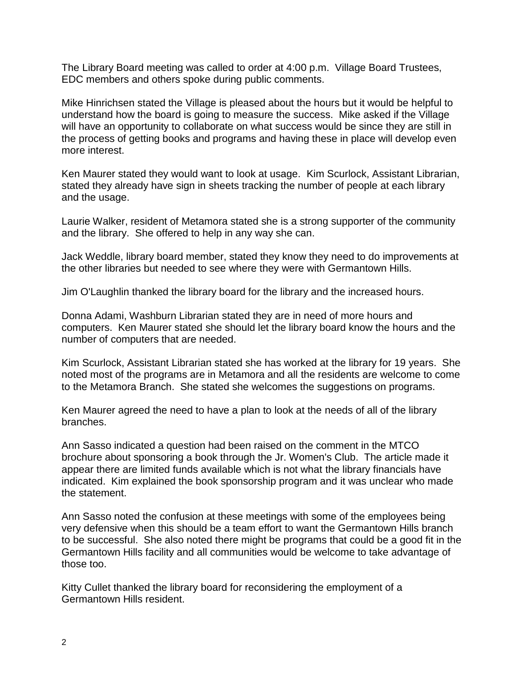The Library Board meeting was called to order at 4:00 p.m. Village Board Trustees, EDC members and others spoke during public comments.

Mike Hinrichsen stated the Village is pleased about the hours but it would be helpful to understand how the board is going to measure the success. Mike asked if the Village will have an opportunity to collaborate on what success would be since they are still in the process of getting books and programs and having these in place will develop even more interest.

Ken Maurer stated they would want to look at usage. Kim Scurlock, Assistant Librarian, stated they already have sign in sheets tracking the number of people at each library and the usage.

Laurie Walker, resident of Metamora stated she is a strong supporter of the community and the library. She offered to help in any way she can.

Jack Weddle, library board member, stated they know they need to do improvements at the other libraries but needed to see where they were with Germantown Hills.

Jim O'Laughlin thanked the library board for the library and the increased hours.

Donna Adami, Washburn Librarian stated they are in need of more hours and computers. Ken Maurer stated she should let the library board know the hours and the number of computers that are needed.

Kim Scurlock, Assistant Librarian stated she has worked at the library for 19 years. She noted most of the programs are in Metamora and all the residents are welcome to come to the Metamora Branch. She stated she welcomes the suggestions on programs.

Ken Maurer agreed the need to have a plan to look at the needs of all of the library branches.

Ann Sasso indicated a question had been raised on the comment in the MTCO brochure about sponsoring a book through the Jr. Women's Club. The article made it appear there are limited funds available which is not what the library financials have indicated. Kim explained the book sponsorship program and it was unclear who made the statement.

Ann Sasso noted the confusion at these meetings with some of the employees being very defensive when this should be a team effort to want the Germantown Hills branch to be successful. She also noted there might be programs that could be a good fit in the Germantown Hills facility and all communities would be welcome to take advantage of those too.

Kitty Cullet thanked the library board for reconsidering the employment of a Germantown Hills resident.